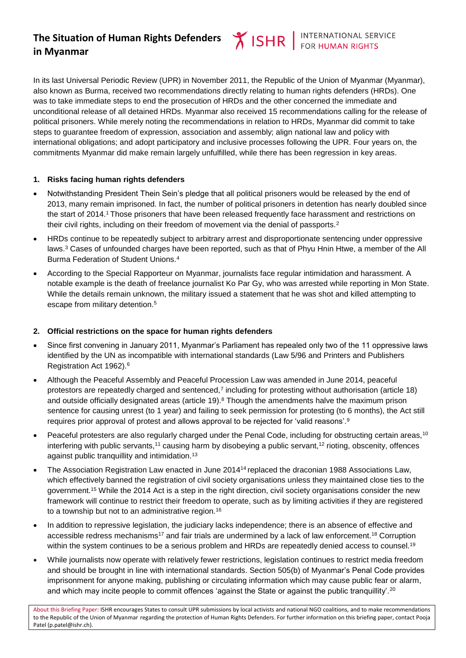# **The Situation of Human Rights Defenders in Myanmar**

In its last Universal Periodic Review (UPR) in November 2011, the Republic of the Union of Myanmar (Myanmar), also known as Burma, received two recommendations directly relating to human rights defenders (HRDs). One was to take immediate steps to end the prosecution of HRDs and the other concerned the immediate and unconditional release of all detained HRDs. Myanmar also received 15 recommendations calling for the release of political prisoners. While merely noting the recommendations in relation to HRDs, Myanmar did commit to take steps to guarantee freedom of expression, association and assembly; align national law and policy with international obligations; and adopt participatory and inclusive processes following the UPR. Four years on, the commitments Myanmar did make remain largely unfulfilled, while there has been regression in key areas.

#### **1. Risks facing human rights defenders**

- Notwithstanding President Thein Sein's pledge that all political prisoners would be released by the end of 2013, many remain imprisoned. In fact, the number of political prisoners in detention has nearly doubled since the start of 2014.<sup>1</sup> Those prisoners that have been released frequently face harassment and restrictions on their civil rights, including on their freedom of movement via the denial of passports.<sup>2</sup>
- <span id="page-0-1"></span> HRDs continue to be repeatedly subject to arbitrary arrest and disproportionate sentencing under oppressive laws.<sup>3</sup> Cases of unfounded charges have been reported, such as that of Phyu Hnin Htwe, a member of the All Burma Federation of Student Unions.<sup>4</sup>
- According to the Special Rapporteur on Myanmar, journalists face regular intimidation and harassment. A notable example is the death of freelance journalist Ko Par Gy, who was arrested while reporting in Mon State. While the details remain unknown, the military issued a statement that he was shot and killed attempting to escape from military detention.<sup>5</sup>

# <span id="page-0-0"></span>**2. Official restrictions on the space for human rights defenders**

- Since first convening in January 2011, Myanmar's Parliament has repealed only two of the 11 oppressive laws identified by the UN as incompatible with international standards (Law 5/96 and Printers and Publishers Registration Act 1962).<sup>6</sup>
- Although the Peaceful Assembly and Peaceful Procession Law was amended in June 2014, peaceful protestors are repeatedly charged and sentenced,<sup>7</sup> including for protesting without authorisation (article 18) and outside officially designated areas (article 19).<sup>8</sup> Though the amendments halve the maximum prison sentence for causing unrest (to 1 year) and failing to seek permission for protesting (to 6 months), the Act still requires prior approval of protest and allows approval to be rejected for 'valid reasons'.<sup>9</sup>
- Peaceful protesters are also regularly charged under the Penal Code, including for obstructing certain areas,<sup>10</sup> interfering with public servants,<sup>11</sup> causing harm by disobeying a public servant,<sup>12</sup> rioting, obscenity, offences against public tranquillity and intimidation.<sup>13</sup>
- The Association Registration Law enacted in June 2014<sup>14</sup> replaced the draconian 1988 Associations Law. which effectively banned the registration of civil society organisations unless they maintained close ties to the government.<sup>15</sup> While the 2014 Act is a step in the right direction, civil society organisations consider the new framework will continue to restrict their freedom to operate, such as by limiting activities if they are registered to a township but not to an administrative region.<sup>16</sup>
- <span id="page-0-2"></span>• In addition to repressive legislation, the judiciary lacks independence; there is an absence of effective and accessible redress mechanisms<sup>17</sup> and fair trials are undermined by a lack of law enforcement.<sup>18</sup> Corruption within the system continues to be a serious problem and HRDs are repeatedly denied access to counsel.<sup>19</sup>
- While journalists now operate with relatively fewer restrictions, legislation continues to restrict media freedom and should be brought in line with international standards. Section 505(b) of Myanmar's Penal Code provides imprisonment for anyone making, publishing or circulating information which may cause public fear or alarm, and which may incite people to commit offences 'against the State or against the public tranquillity'.<sup>20</sup>

About this Briefing Paper: ISHR encourages States to consult UPR submissions by local activists and national NGO coalitions, and to make recommendations to the Republic of the Union of Myanmar regarding the protection of Human Rights Defenders. For further information on this briefing paper, contact Pooja Patel (p.patel@ishr.ch).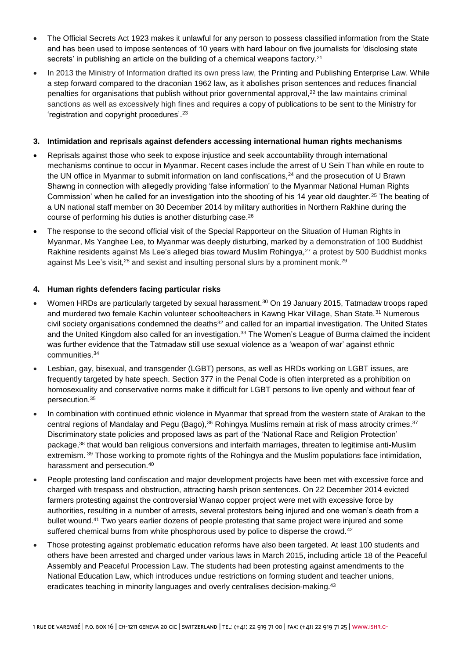- The Official Secrets Act 1923 makes it unlawful for any person to possess classified information from the State and has been used to impose sentences of 10 years with hard labour on five journalists for 'disclosing state secrets' in publishing an article on the building of a chemical weapons factory.<sup>21</sup>
- In 2013 the Ministry of Information drafted its own press law, the Printing and Publishing Enterprise Law. While a step forward compared to the draconian 1962 law, as it abolishes prison sentences and reduces financial penalties for organisations that publish without prior governmental approval,<sup>22</sup> the law maintains criminal sanctions as well as excessively high fines and requires a copy of publications to be sent to the Ministry for 'registration and copyright procedures'. 23

### **3. Intimidation and reprisals against defenders accessing international human rights mechanisms**

- Reprisals against those who seek to expose injustice and seek accountability through international mechanisms continue to occur in Myanmar. Recent cases include the arrest of U Sein Than while en route to the UN office in Myanmar to submit information on land confiscations,<sup>24</sup> and the prosecution of U Brawn Shawng in connection with allegedly providing 'false information' to the Myanmar National Human Rights Commission' when he called for an investigation into the shooting of his 14 year old daughter.<sup>25</sup> The beating of a UN national staff member on 30 December 2014 by military authorities in Northern Rakhine during the course of performing his duties is another disturbing case. 26
- The response to the second official visit of the Special Rapporteur on the Situation of Human Rights in Myanmar, Ms Yanghee Lee, to Myanmar was deeply disturbing, marked by a demonstration of 100 Buddhist Rakhine residents against Ms Lee's alleged bias toward Muslim Rohingya,<sup>27</sup> a protest by 500 Buddhist monks against Ms Lee's visit.<sup>28</sup> and sexist and insulting personal slurs by a prominent monk.<sup>29</sup>

## **4. Human rights defenders facing particular risks**

- Women HRDs are particularly targeted by sexual harassment.<sup>30</sup> On 19 January 2015, Tatmadaw troops raped and murdered two female Kachin volunteer schoolteachers in Kawng Hkar Village, Shan State.<sup>31</sup> Numerous civil society organisations condemned the deaths<sup>32</sup> and called for an impartial investigation. The United States and the United Kingdom also called for an investigation.<sup>33</sup> The Women's League of Burma claimed the incident was further evidence that the Tatmadaw still use sexual violence as a 'weapon of war' against ethnic communities.<sup>34</sup>
- Lesbian, gay, bisexual, and transgender (LGBT) persons, as well as HRDs working on LGBT issues, are frequently targeted by hate speech. Section 377 in the Penal Code is often interpreted as a prohibition on homosexuality and conservative norms make it difficult for LGBT persons to live openly and without fear of persecution.<sup>35</sup>
- In combination with continued ethnic violence in Myanmar that spread from the western state of Arakan to the central regions of Mandalay and Pegu (Bago),<sup>36</sup> Rohingya Muslims remain at risk of mass atrocity crimes.<sup>37</sup> Discriminatory state policies and proposed laws as part of the 'National Race and Religion Protection' package,<sup>38</sup> that would ban religious conversions and interfaith marriages, threaten to legitimise anti-Muslim extremism. <sup>39</sup> Those working to promote rights of the Rohingya and the Muslim populations face intimidation, harassment and persecution.<sup>40</sup>
- People protesting land confiscation and major development projects have been met with excessive force and charged with trespass and obstruction, attracting harsh prison sentences. On 22 December 2014 evicted farmers protesting against the controversial Wanao copper project were met with excessive force by authorities, resulting in a number of arrests, several protestors being injured and one woman's death from a bullet wound.<sup>41</sup> Two years earlier dozens of people protesting that same project were injured and some suffered chemical burns from white phosphorous used by police to disperse the crowd.<sup>42</sup>
- Those protesting against problematic education reforms have also been targeted. At least 100 students and others have been arrested and charged under various laws in March 2015, including article 18 of the Peaceful Assembly and Peaceful Procession Law. The students had been protesting against amendments to the National Education Law, which introduces undue restrictions on forming student and teacher unions, eradicates teaching in minority languages and overly centralises decision-making.<sup>43</sup>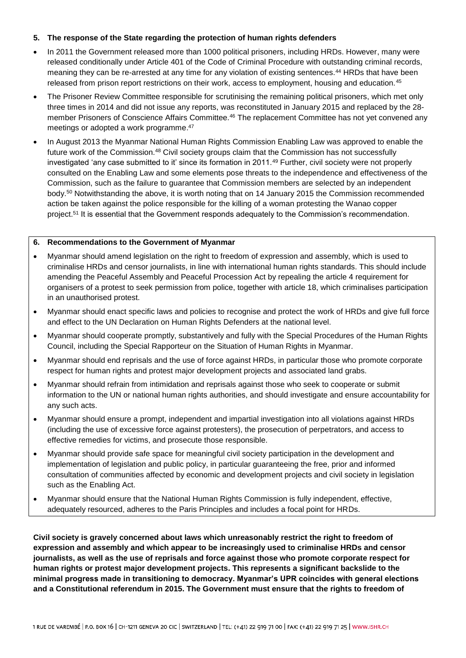#### **5. The response of the State regarding the protection of human rights defenders**

- In 2011 the Government released more than 1000 political prisoners, including HRDs. However, many were released conditionally under Article 401 of the Code of Criminal Procedure with outstanding criminal records, meaning they can be re-arrested at any time for any violation of existing sentences.<sup>44</sup> HRDs that have been released from prison report restrictions on their work, access to employment, housing and education.<sup>45</sup>
- The Prisoner Review Committee responsible for scrutinising the remaining political prisoners, which met only three times in 2014 and did not issue any reports, was reconstituted in January 2015 and replaced by the 28 member Prisoners of Conscience Affairs Committee.<sup>46</sup> The replacement Committee has not yet convened any meetings or adopted a work programme.<sup>47</sup>
- In August 2013 the Myanmar National Human Rights Commission Enabling Law was approved to enable the future work of the Commission.<sup>48</sup> Civil society groups claim that the Commission has not successfully investigated 'any case submitted to it' since its formation in 2011.<sup>49</sup> Further, civil society were not properly consulted on the Enabling Law and some elements pose threats to the independence and effectiveness of the Commission, such as the failure to guarantee that Commission members are selected by an independent body.<sup>50</sup> Notwithstanding the above, it is worth noting that on 14 January 2015 the Commission recommended action be taken against the police responsible for the killing of a woman protesting the Wanao copper project.<sup>51</sup> It is essential that the Government responds adequately to the Commission's recommendation.

#### **6. Recommendations to the Government of Myanmar**

- Myanmar should amend legislation on the right to freedom of expression and assembly, which is used to criminalise HRDs and censor journalists, in line with international human rights standards. This should include amending the Peaceful Assembly and Peaceful Procession Act by repealing the article 4 requirement for organisers of a protest to seek permission from police, together with article 18, which criminalises participation in an unauthorised protest.
- Myanmar should enact specific laws and policies to recognise and protect the work of HRDs and give full force and effect to the UN Declaration on Human Rights Defenders at the national level.
- Myanmar should cooperate promptly, substantively and fully with the Special Procedures of the Human Rights Council, including the Special Rapporteur on the Situation of Human Rights in Myanmar.
- Myanmar should end reprisals and the use of force against HRDs, in particular those who promote corporate respect for human rights and protest major development projects and associated land grabs.
- Myanmar should refrain from intimidation and reprisals against those who seek to cooperate or submit information to the UN or national human rights authorities, and should investigate and ensure accountability for any such acts.
- Myanmar should ensure a prompt, independent and impartial investigation into all violations against HRDs (including the use of excessive force against protesters), the prosecution of perpetrators, and access to effective remedies for victims, and prosecute those responsible.
- Myanmar should provide safe space for meaningful civil society participation in the development and implementation of legislation and public policy, in particular guaranteeing the free, prior and informed consultation of communities affected by economic and development projects and civil society in legislation such as the Enabling Act.
- Myanmar should ensure that the National Human Rights Commission is fully independent, effective, adequately resourced, adheres to the Paris Principles and includes a focal point for HRDs.

**Civil society is gravely concerned about laws which unreasonably restrict the right to freedom of expression and assembly and which appear to be increasingly used to criminalise HRDs and censor journalists, as well as the use of reprisals and force against those who promote corporate respect for human rights or protest major development projects. This represents a significant backslide to the minimal progress made in transitioning to democracy. Myanmar's UPR coincides with general elections and a Constitutional referendum in 2015. The Government must ensure that the rights to freedom of**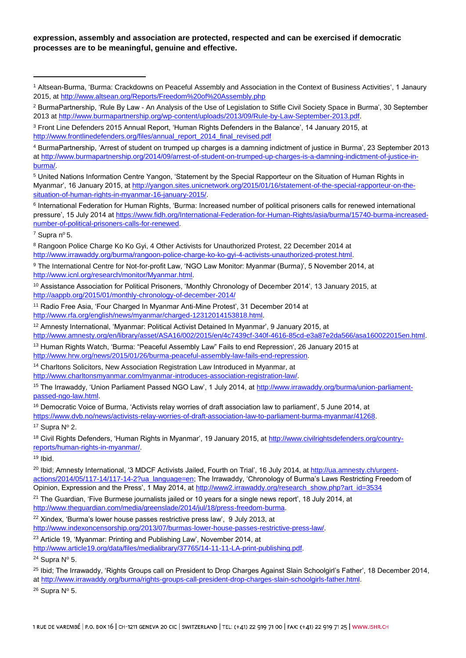### **expression, assembly and association are protected, respected and can be exercised if democratic processes are to be meaningful, genuine and effective.**

 $7$  Supra nº [5.](#page-0-0)

 $\overline{a}$ 

<sup>8</sup> Rangoon Police Charge Ko Ko Gyi, 4 Other Activists for Unauthorized Protest, 22 December 2014 at [http://www.irrawaddy.org/burma/rangoon-police-charge-ko-ko-gyi-4-activists-unauthorized-protest.html.](http://www.irrawaddy.org/burma/rangoon-police-charge-ko-ko-gyi-4-activists-unauthorized-protest.html)

9 The International Centre for Not-for-profit Law, 'NGO Law Monitor: Myanmar (Burma)', 5 November 2014, at [http://www.icnl.org/research/monitor/Myanmar.html.](http://www.icnl.org/research/monitor/Myanmar.html)

<sup>10</sup> Assistance Association for Political Prisoners, 'Monthly Chronology of December 2014', 13 January 2015, at <http://aappb.org/2015/01/monthly-chronology-of-december-2014/>

<sup>11</sup> Radio Free Asia, 'Four Charged In Myanmar Anti-Mine Protest', 31 December 2014 at [http://www.rfa.org/english/news/myanmar/charged-12312014153818.html.](http://www.rfa.org/english/news/myanmar/charged-12312014153818.html)

<sup>12</sup> Amnesty International, 'Myanmar: Political Activist Detained In Myanmar', 9 January 2015, at [http://www.amnesty.org/en/library/asset/ASA16/002/2015/en/4c7439cf-340f-4616-85cd-e3a87e2da566/asa160022015en.html.](http://www.amnesty.org/en/library/asset/ASA16/002/2015/en/4c7439cf-340f-4616-85cd-e3a87e2da566/asa160022015en.html)

<sup>13</sup> Human Rights Watch, 'Burma: "Peaceful Assembly Law" Fails to end Repression', 26 January 2015 at [http://www.hrw.org/news/2015/01/26/burma-peaceful-assembly-law-fails-end-repression.](http://www.hrw.org/news/2015/01/26/burma-peaceful-assembly-law-fails-end-repression)

<sup>14</sup> Charltons Solicitors, New Association Registration Law Introduced in Myanmar, at

[http://www.charltonsmyanmar.com/myanmar-introduces-association-registration-law/.](http://www.charltonsmyanmar.com/myanmar-introduces-association-registration-law/)

15 The Irrawaddy, 'Union Parliament Passed NGO Law', 1 July 2014, at [http://www.irrawaddy.org/burma/union-parliament](http://www.irrawaddy.org/burma/union-parliament-passed-ngo-law.html)[passed-ngo-law.html.](http://www.irrawaddy.org/burma/union-parliament-passed-ngo-law.html)

<sup>16</sup> Democratic Voice of Burma, 'Activists relay worries of draft association law to parliament', 5 June 2014, at [https://www.dvb.no/news/activists-relay-worries-of-draft-association-law-to-parliament-burma-myanmar/41268.](https://www.dvb.no/news/activists-relay-worries-of-draft-association-law-to-parliament-burma-myanmar/41268)

 $17$  Supra N° [2.](#page-0-1)

<sup>18</sup> Civil Rights Defenders, 'Human Rights in Myanmar', 19 January 2015, at [http://www.civilrightsdefenders.org/country](http://www.civilrightsdefenders.org/country-reports/human-rights-in-myanmar/)[reports/human-rights-in-myanmar/.](http://www.civilrightsdefenders.org/country-reports/human-rights-in-myanmar/)

 $19$  Ibid.

<sup>20</sup> Ibid; Amnesty International, '3 MDCF Activists Jailed, Fourth on Trial', 16 July 2014, at [http://ua.amnesty.ch/urgent](http://ua.amnesty.ch/urgent-actions/2014/05/117-14/117-14-2?ua_language=en%20)[actions/2014/05/117-14/117-14-2?ua\\_language=en;](http://ua.amnesty.ch/urgent-actions/2014/05/117-14/117-14-2?ua_language=en%20) The Irrawaddy, 'Chronology of Burma's Laws Restricting Freedom of Opinion, Expression and the Press', 1 May 2014, at [http://www2.irrawaddy.org/research\\_show.php?art\\_id=3534](http://www2.irrawaddy.org/research_show.php?art_id=3534)

<sup>21</sup> The Guardian, 'Five Burmese journalists jailed or 10 years for a single news report', 18 July 2014, at [http://www.theguardian.com/media/greenslade/2014/jul/18/press-freedom-burma.](http://www.theguardian.com/media/greenslade/2014/jul/18/press-freedom-burma)

<sup>22</sup> Xindex, 'Burma's lower house passes restrictive press law'. 9 July 2013, at

[http://www.indexoncensorship.org/2013/07/burmas-lower-house-passes-restrictive-press-law/.](http://www.indexoncensorship.org/2013/07/burmas-lower-house-passes-restrictive-press-law/)

<sup>23</sup> Article 19, 'Myanmar: Printing and Publishing Law', November 2014, at

[http://www.article19.org/data/files/medialibrary/37765/14-11-11-LA-print-publishing.pdf.](http://www.article19.org/data/files/medialibrary/37765/14-11-11-LA-print-publishing.pdf)

 $24$  Supra N° [5.](#page-0-0)

<sup>25</sup> Ibid; The Irrawaddy, 'Rights Groups call on President to Drop Charges Against Slain Schoolgirl's Father', 18 December 2014, a[t http://www.irrawaddy.org/burma/rights-groups-call-president-drop-charges-slain-schoolgirls-father.html.](http://www.irrawaddy.org/burma/rights-groups-call-president-drop-charges-slain-schoolgirls-father.html)

 $26$  Supra N° [5.](#page-0-0)

<sup>1</sup> Altsean-Burma, 'Burma: Crackdowns on Peaceful Assembly and Association in the Context of Business Activities', 1 Janaury 2015, a[t http://www.altsean.org/Reports/Freedom%20of%20Assembly.php](http://www.altsean.org/Reports/Freedom%20of%20Assembly.php)

<sup>2</sup> BurmaPartnership, 'Rule By Law - An Analysis of the Use of Legislation to Stifle Civil Society Space in Burma', 30 September 2013 at [http://www.burmapartnership.org/wp-content/uploads/2013/09/Rule-by-Law-September-2013.pdf.](http://www.burmapartnership.org/wp-content/uploads/2013/09/Rule-by-Law-September-2013.pdf)

<sup>3</sup> Front Line Defenders 2015 Annual Report, 'Human Rights Defenders in the Balance', 14 January 2015, at [http://www.frontlinedefenders.org/files/annual\\_report\\_2014\\_final\\_revised.pdf](http://www.frontlinedefenders.org/files/annual_report_2014_final_revised.pdf)

<sup>4</sup> BurmaPartnership, 'Arrest of student on trumped up charges is a damning indictment of justice in Burma', 23 September 2013 a[t http://www.burmapartnership.org/2014/09/arrest-of-student-on-trumped-up-charges-is-a-damning-indictment-of-justice-in](http://www.burmapartnership.org/2014/09/arrest-of-student-on-trumped-up-charges-is-a-damning-indictment-of-justice-in-burma/)[burma/.](http://www.burmapartnership.org/2014/09/arrest-of-student-on-trumped-up-charges-is-a-damning-indictment-of-justice-in-burma/)

<sup>5</sup> United Nations Information Centre Yangon, 'Statement by the Special Rapporteur on the Situation of Human Rights in Myanmar', 16 January 2015, at [http://yangon.sites.unicnetwork.org/2015/01/16/statement-of-the-special-rapporteur-on-the](http://yangon.sites.unicnetwork.org/2015/01/16/statement-of-the-special-rapporteur-on-the-situation-of-human-rights-in-myanmar-16-january-2015/)[situation-of-human-rights-in-myanmar-16-january-2015/.](http://yangon.sites.unicnetwork.org/2015/01/16/statement-of-the-special-rapporteur-on-the-situation-of-human-rights-in-myanmar-16-january-2015/)

<sup>6</sup> International Federation for Human Rights, 'Burma: Increased number of political prisoners calls for renewed international pressure', 15 July 2014 at [https://www.fidh.org/International-Federation-for-Human-Rights/asia/burma/15740-burma-increased](https://www.fidh.org/International-Federation-for-Human-Rights/asia/burma/15740-burma-increased-number-of-political-prisoners-calls-for-renewed)[number-of-political-prisoners-calls-for-renewed.](https://www.fidh.org/International-Federation-for-Human-Rights/asia/burma/15740-burma-increased-number-of-political-prisoners-calls-for-renewed)